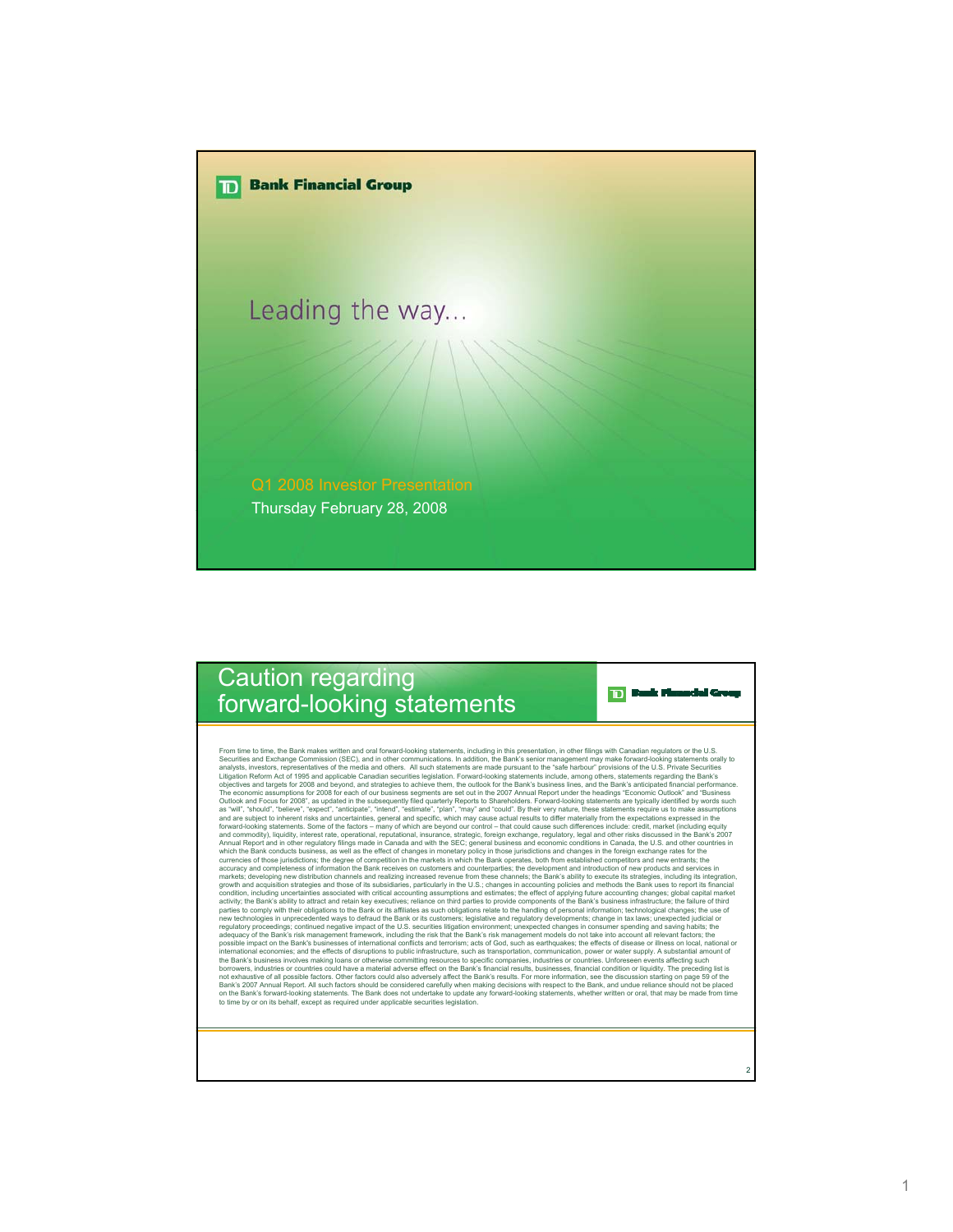

## Caution regarding forward-looking statements

**TD** Bank Munaclei Group

2

From time to time, the Bank makes wittlen and oral forward-looking statements, including in this presentation, in other filings with Canadian repulsors or the U.S. Private Societies and Exchange Commission (SEC), and in ot and commodity), liquidity, interest rate, operational, insurance, insurance, strategic, foreign exchange, regulatory, legal and other risks discussed in the Bank's 2007<br>Annual Report and in other regulatory filings made in markets; developing new distibution channels and realizing increased revenue from these channels; the Bank's ability to execute its strategies, including its integration, condition, including uncertainties associated with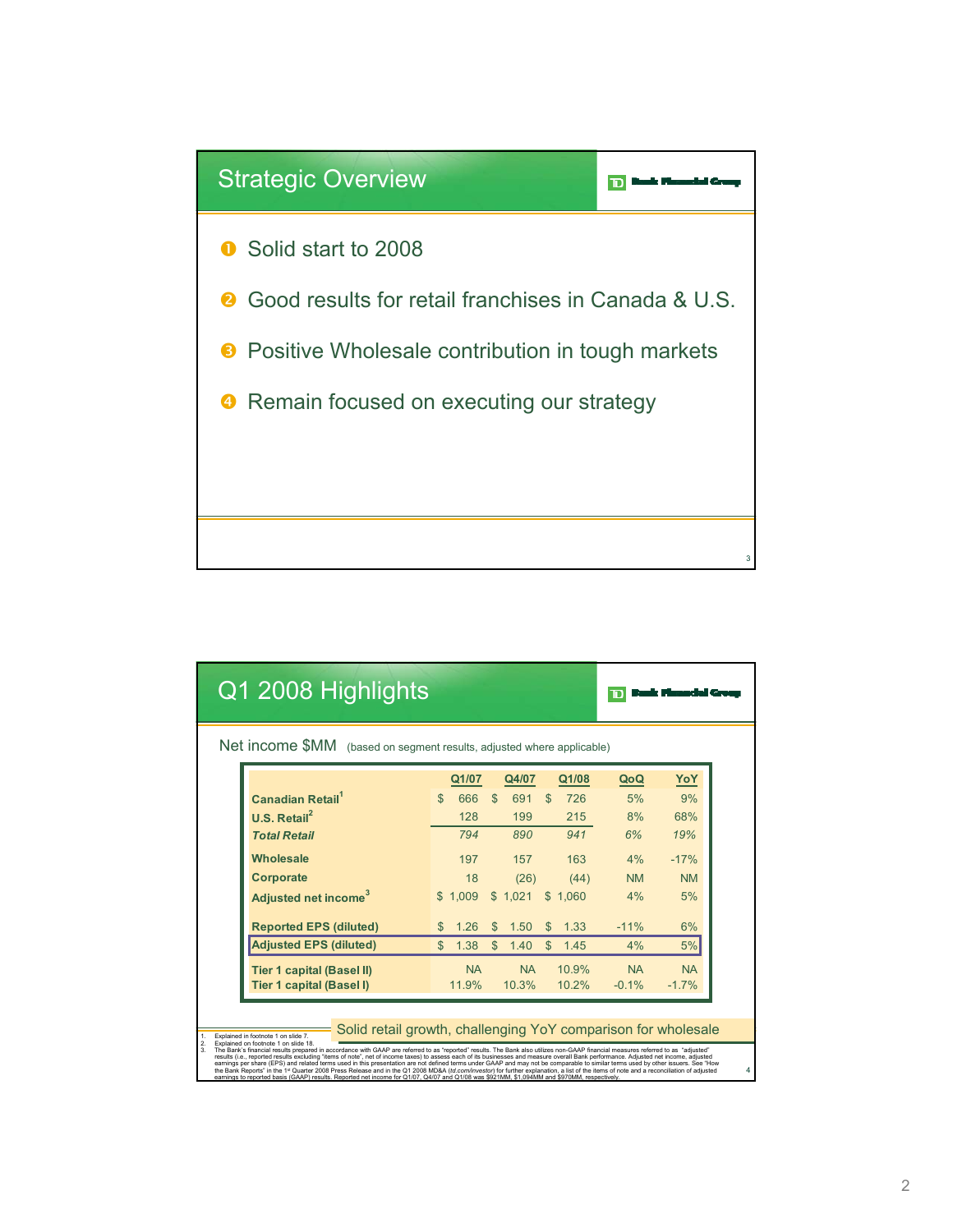

|                                                                                                                                                                                                                                                                                                                                                                                                                                                                                                                                                                                                                                                                                                                                                                                                                                                                                                                    | Q1 2008 Highlights                     |     |           |              |           |     |       |           |           |  |
|--------------------------------------------------------------------------------------------------------------------------------------------------------------------------------------------------------------------------------------------------------------------------------------------------------------------------------------------------------------------------------------------------------------------------------------------------------------------------------------------------------------------------------------------------------------------------------------------------------------------------------------------------------------------------------------------------------------------------------------------------------------------------------------------------------------------------------------------------------------------------------------------------------------------|----------------------------------------|-----|-----------|--------------|-----------|-----|-------|-----------|-----------|--|
| Net income \$MM (based on segment results, adjusted where applicable)                                                                                                                                                                                                                                                                                                                                                                                                                                                                                                                                                                                                                                                                                                                                                                                                                                              |                                        |     |           |              |           |     |       |           |           |  |
|                                                                                                                                                                                                                                                                                                                                                                                                                                                                                                                                                                                                                                                                                                                                                                                                                                                                                                                    |                                        |     | Q1/07     |              | Q4/07     |     | Q1/08 | QoQ       | YoY       |  |
|                                                                                                                                                                                                                                                                                                                                                                                                                                                                                                                                                                                                                                                                                                                                                                                                                                                                                                                    | <b>Canadian Retail</b>                 | \$  | 666       | S            | 691       | S   | 726   | 5%        | 9%        |  |
|                                                                                                                                                                                                                                                                                                                                                                                                                                                                                                                                                                                                                                                                                                                                                                                                                                                                                                                    | $U.S.$ Retail <sup>2</sup>             |     | 128       |              | 199       |     | 215   | 8%        | 68%       |  |
|                                                                                                                                                                                                                                                                                                                                                                                                                                                                                                                                                                                                                                                                                                                                                                                                                                                                                                                    | <b>Total Retail</b>                    |     | 794       |              | 890       |     | 941   | 6%        | 19%       |  |
|                                                                                                                                                                                                                                                                                                                                                                                                                                                                                                                                                                                                                                                                                                                                                                                                                                                                                                                    | <b>Wholesale</b>                       |     | 197       |              | 157       |     | 163   | 4%        | $-17%$    |  |
|                                                                                                                                                                                                                                                                                                                                                                                                                                                                                                                                                                                                                                                                                                                                                                                                                                                                                                                    | Corporate                              |     | 18        |              | (26)      |     | (44)  | <b>NM</b> | <b>NM</b> |  |
|                                                                                                                                                                                                                                                                                                                                                                                                                                                                                                                                                                                                                                                                                                                                                                                                                                                                                                                    | <b>Adjusted net income<sup>3</sup></b> | \$. | 1.009     | $\mathbb{S}$ | 1.021     | \$  | 1.060 | 4%        | 5%        |  |
|                                                                                                                                                                                                                                                                                                                                                                                                                                                                                                                                                                                                                                                                                                                                                                                                                                                                                                                    | <b>Reported EPS (diluted)</b>          | S   | 1.26      | \$           | 1.50      | \$. | 1.33  | $-11%$    | 6%        |  |
|                                                                                                                                                                                                                                                                                                                                                                                                                                                                                                                                                                                                                                                                                                                                                                                                                                                                                                                    | <b>Adjusted EPS (diluted)</b>          | \$. | 1.38      | \$           | 1.40      | \$  | 1.45  | 4%        | 5%        |  |
|                                                                                                                                                                                                                                                                                                                                                                                                                                                                                                                                                                                                                                                                                                                                                                                                                                                                                                                    | <b>Tier 1 capital (Basel II)</b>       |     | <b>NA</b> |              | <b>NA</b> |     | 10.9% | <b>NA</b> | <b>NA</b> |  |
|                                                                                                                                                                                                                                                                                                                                                                                                                                                                                                                                                                                                                                                                                                                                                                                                                                                                                                                    | Tier 1 capital (Basel I)               |     | 11.9%     |              | 10.3%     |     | 10.2% | $-0.1%$   | $-1.7%$   |  |
| Solid retail growth, challenging YoY comparison for wholesale<br>Explained in footnote 1 on slide 7.<br>1.<br>$\mathbf{2}$<br>Explained on footnote 1 on slide 18.                                                                                                                                                                                                                                                                                                                                                                                                                                                                                                                                                                                                                                                                                                                                                 |                                        |     |           |              |           |     |       |           |           |  |
| 3.<br>The Bank's financial results prepared in accordance with GAAP are referred to as "reported" results. The Bank also utilizes non-GAAP financial measures referred to as "adjusted"<br>results (i.e., reported results excluding "items of note", net of income taxes) to assess each of its businesses and measure overall Bank performance. Adjusted net income, adjusted<br>earnings per share (EPS) and related terms used in this presentation are not defined terms under GAAP and may not be comparable to similar terms used by other issuers. See "How<br>the Bank Reports" in the 1st Quarter 2008 Press Release and in the Q1 2008 MD&A (td.com/investor) for further explanation, a list of the items of note and a reconciliation of adjusted<br>4<br>earnings to reported basis (GAAP) results. Reported net income for Q1/07, Q4/07 and Q1/08 was \$921MM, \$1,094MM and \$970MM, respectively. |                                        |     |           |              |           |     |       |           |           |  |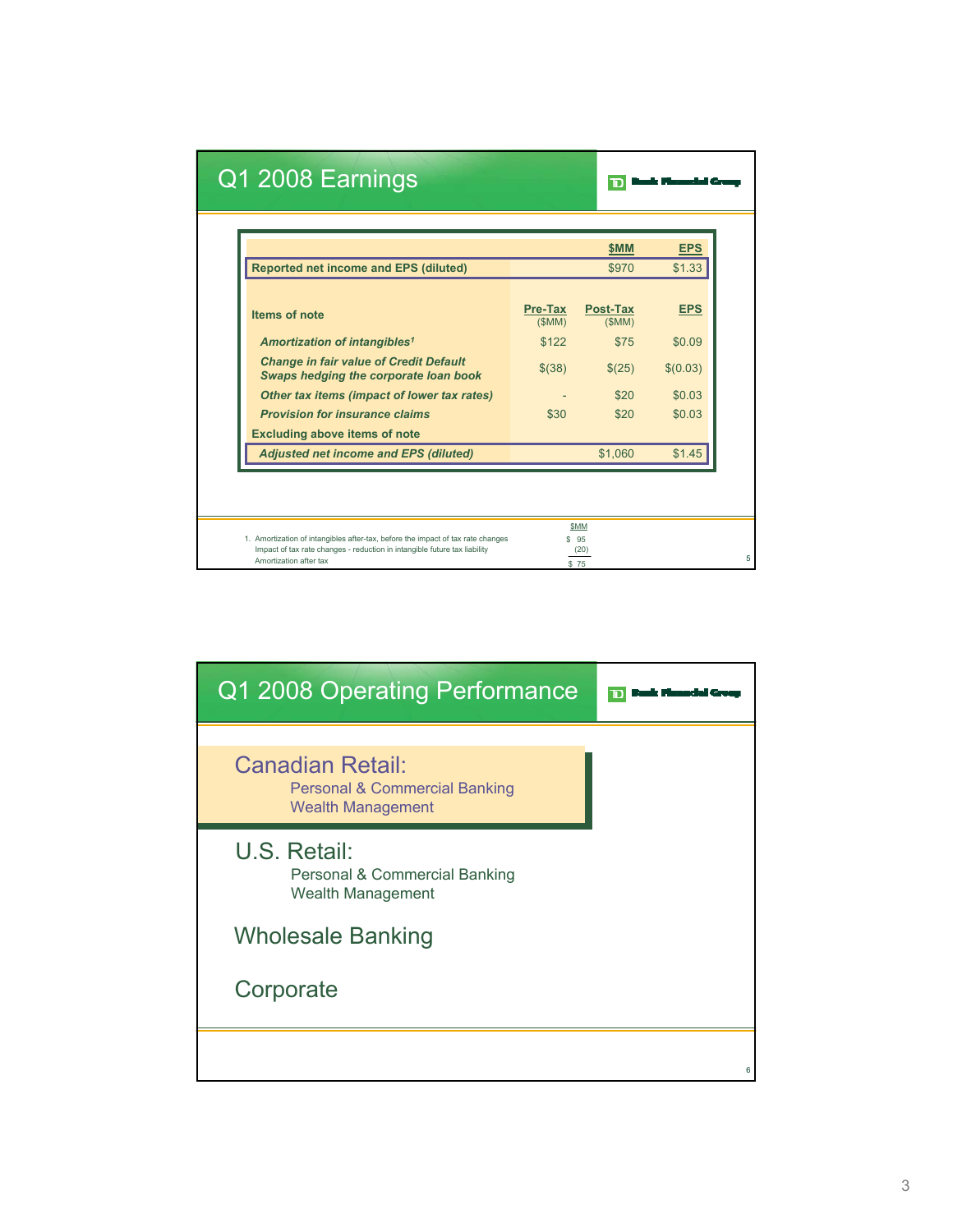|                                                                                               |                         | \$MM                     | <b>EPS</b> |
|-----------------------------------------------------------------------------------------------|-------------------------|--------------------------|------------|
| <b>Reported net income and EPS (diluted)</b>                                                  |                         | \$970                    | \$1.33     |
| Items of note                                                                                 | <b>Pre-Tax</b><br>(SMM) | <b>Post-Tax</b><br>(SMM) | <b>EPS</b> |
| Amortization of intangibles <sup>1</sup>                                                      | \$122                   | \$75                     | \$0.09     |
| <b>Change in fair value of Credit Default</b><br><b>Swaps hedging the corporate loan book</b> | \$(38)                  | \$(25)                   | \$(0.03)   |
| Other tax items (impact of lower tax rates)                                                   |                         | \$20                     | \$0.03     |
| <b>Provision for insurance claims</b>                                                         | \$30                    | \$20                     | \$0.03     |
| <b>Excluding above items of note</b>                                                          |                         |                          |            |
| <b>Adjusted net income and EPS (diluted)</b>                                                  |                         | \$1,060                  | \$1.45     |

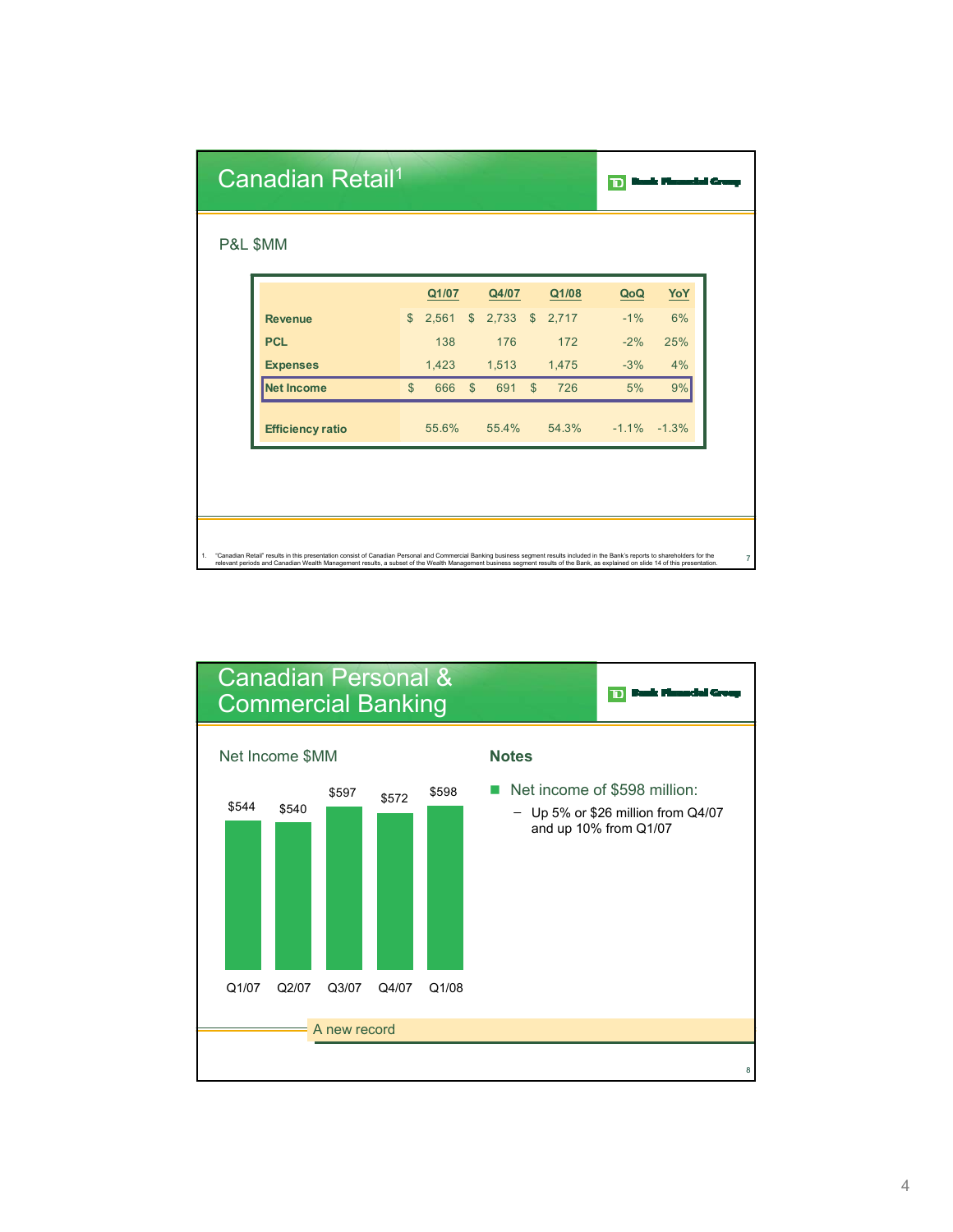| Canadian Retail <sup>1</sup> |              |       |                |       |               |       | TD    |                 |
|------------------------------|--------------|-------|----------------|-------|---------------|-------|-------|-----------------|
| P&L \$MM                     |              |       |                |       |               |       |       |                 |
|                              |              | Q1/07 |                | Q4/07 |               | Q1/08 | QoQ   | YoY             |
| <b>Revenue</b>               | $\mathbb{S}$ | 2,561 | $\mathsf{\$}$  | 2,733 | $\mathcal{S}$ | 2,717 | $-1%$ | 6%              |
| <b>PCL</b>                   |              | 138   |                | 176   |               | 172   | $-2%$ | 25%             |
| <b>Expenses</b>              |              | 1,423 |                | 1,513 |               | 1,475 | $-3%$ | 4%              |
| <b>Net Income</b>            | $\mathbb{S}$ | 666   | $\mathfrak{S}$ | 691   | $\mathbb{S}$  | 726   | 5%    | 9%              |
| <b>Efficiency ratio</b>      |              | 55.6% |                | 55.4% |               | 54.3% |       | $-1.1\% -1.3\%$ |

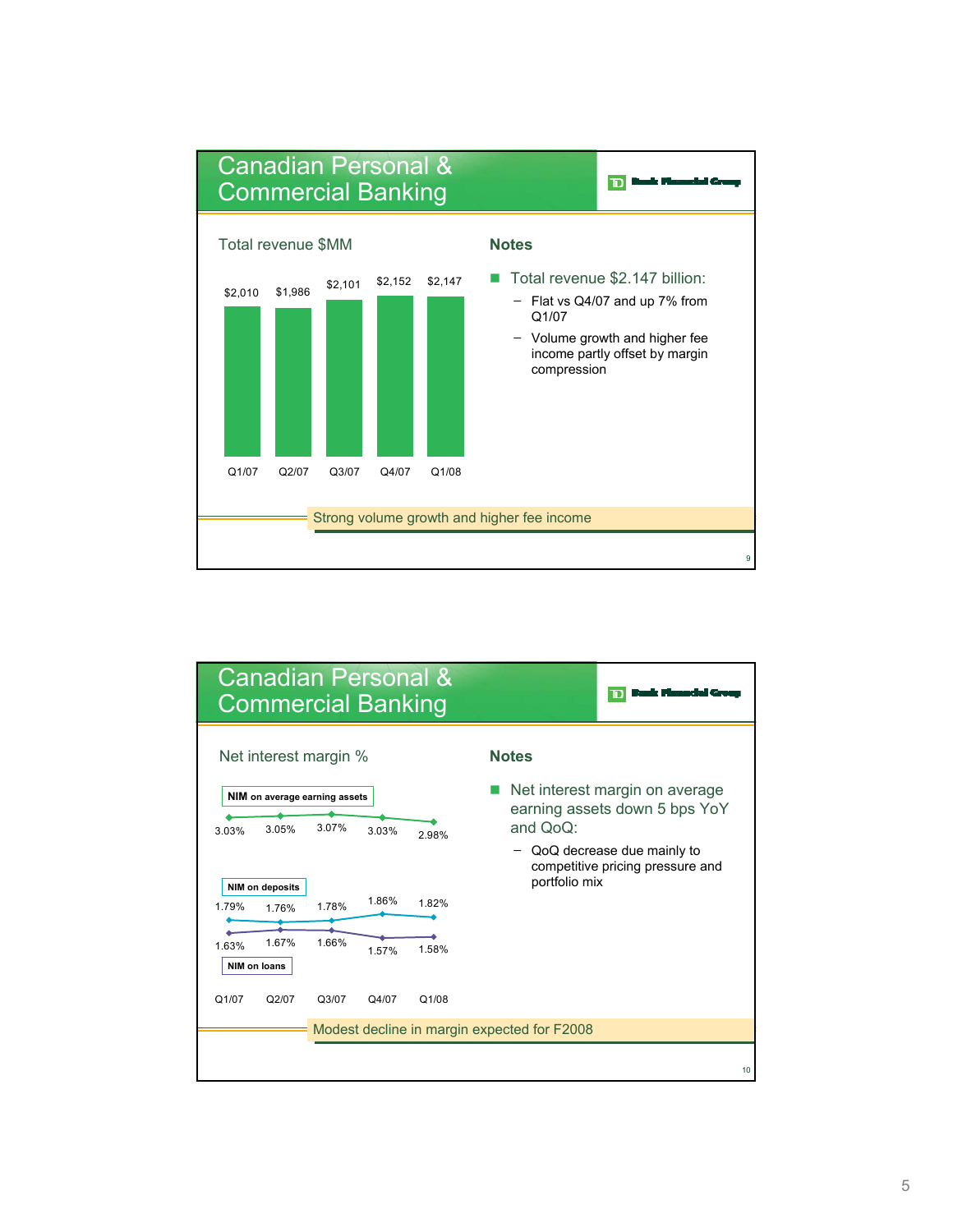

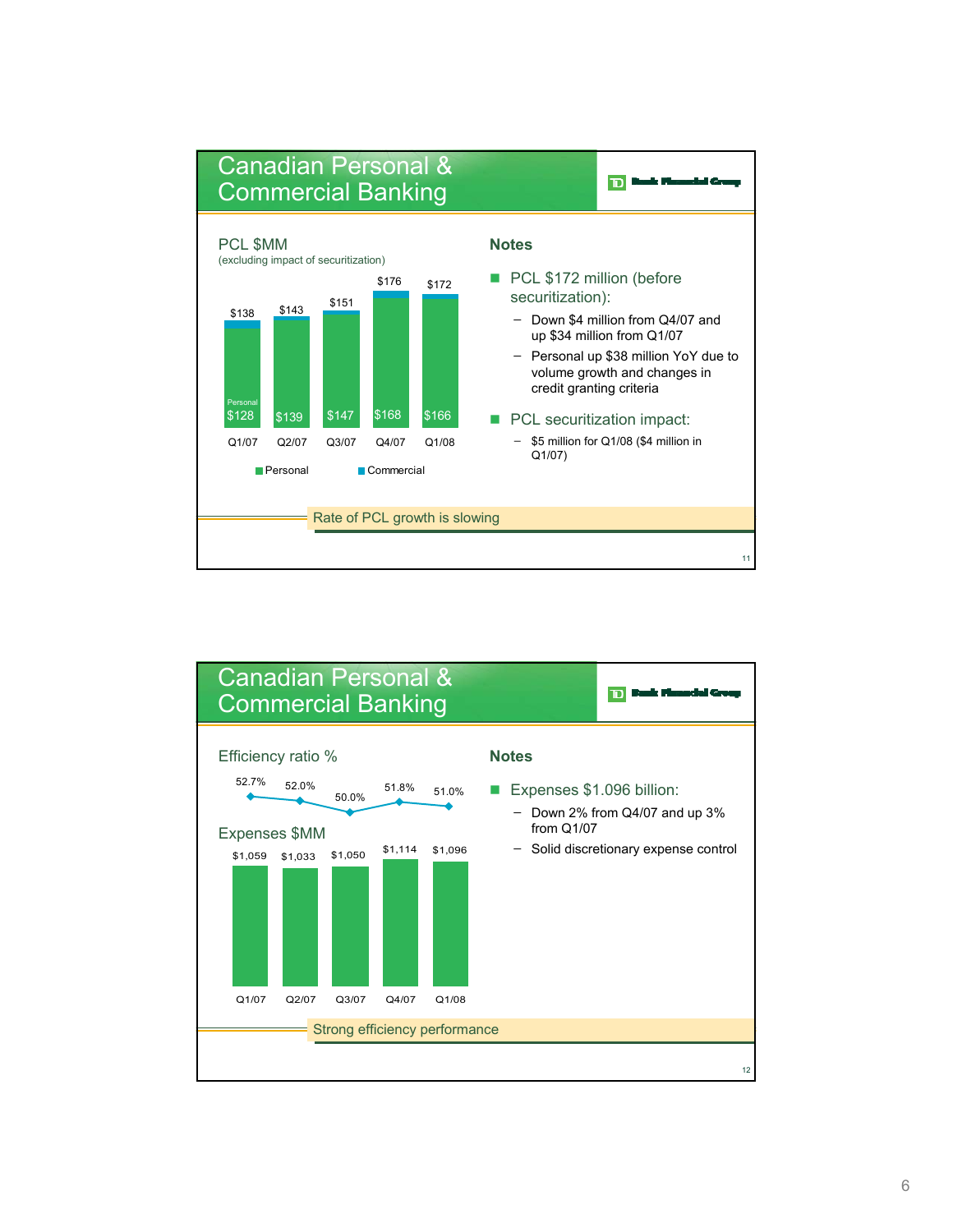

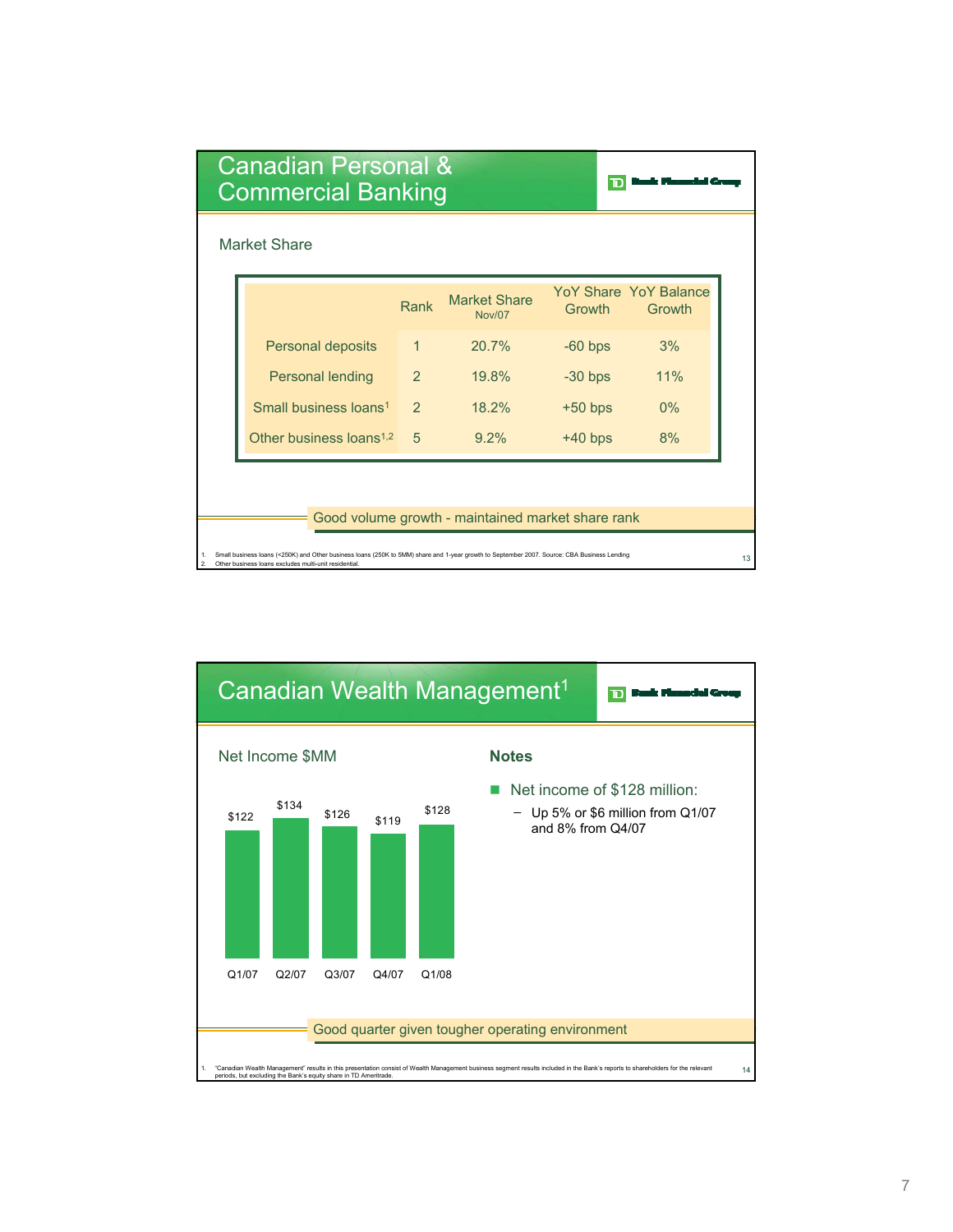| Canadian Personal &<br><b>Commercial Banking</b>  |                                                                                                                                                                                                      |               |                                      |           |                                  |  |  |  |  |
|---------------------------------------------------|------------------------------------------------------------------------------------------------------------------------------------------------------------------------------------------------------|---------------|--------------------------------------|-----------|----------------------------------|--|--|--|--|
|                                                   | <b>Market Share</b>                                                                                                                                                                                  |               |                                      |           |                                  |  |  |  |  |
|                                                   |                                                                                                                                                                                                      | Rank          | <b>Market Share</b><br><b>Nov/07</b> | Growth    | YoY Share, YoY Balance<br>Growth |  |  |  |  |
|                                                   | Personal deposits                                                                                                                                                                                    | $\mathbf{1}$  | 20.7%                                | $-60$ bps | 3%                               |  |  |  |  |
|                                                   | <b>Personal lending</b>                                                                                                                                                                              | 2             | 19.8%                                | $-30$ bps | 11%                              |  |  |  |  |
|                                                   | Small business loans <sup>1</sup>                                                                                                                                                                    | $\mathcal{P}$ | 18.2%                                | $+50$ bps | 0%                               |  |  |  |  |
|                                                   | Other business loans <sup>1,2</sup>                                                                                                                                                                  | 5             | $9.2\%$                              | $+40$ bps | 8%                               |  |  |  |  |
|                                                   |                                                                                                                                                                                                      |               |                                      |           |                                  |  |  |  |  |
| Good volume growth - maintained market share rank |                                                                                                                                                                                                      |               |                                      |           |                                  |  |  |  |  |
|                                                   |                                                                                                                                                                                                      |               |                                      |           |                                  |  |  |  |  |
| 1.<br>$\mathfrak{p}$                              | Small business loans (<250K) and Other business loans (250K to 5MM) share and 1-year growth to September 2007. Source: CBA Business Lending<br>Other business loans excludes multi-unit residential. |               |                                      |           |                                  |  |  |  |  |

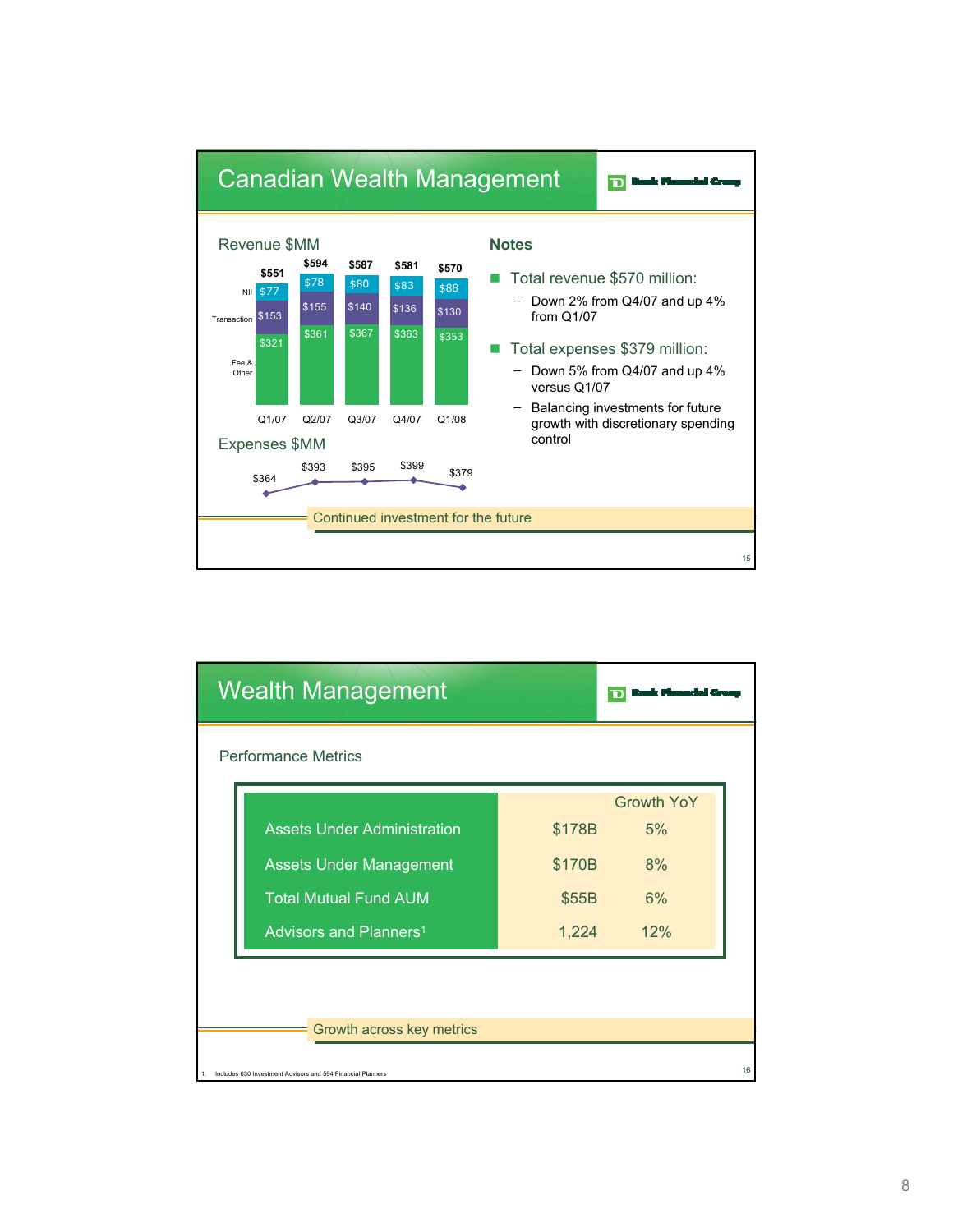

| <b>Wealth Management</b>                                    |        |                   |    |
|-------------------------------------------------------------|--------|-------------------|----|
| <b>Performance Metrics</b>                                  |        |                   |    |
|                                                             |        | <b>Growth YoY</b> |    |
| <b>Assets Under Administration</b>                          | \$178B | 5%                |    |
| <b>Assets Under Management</b>                              | \$170B | 8%                |    |
| <b>Total Mutual Fund AUM</b>                                | \$55B  | 6%                |    |
| Advisors and Planners <sup>1</sup>                          | 1,224  | 12%               |    |
|                                                             |        |                   |    |
|                                                             |        |                   |    |
| Growth across key metrics                                   |        |                   |    |
| Includes 630 Investment Advisors and 594 Financial Planners |        |                   | 16 |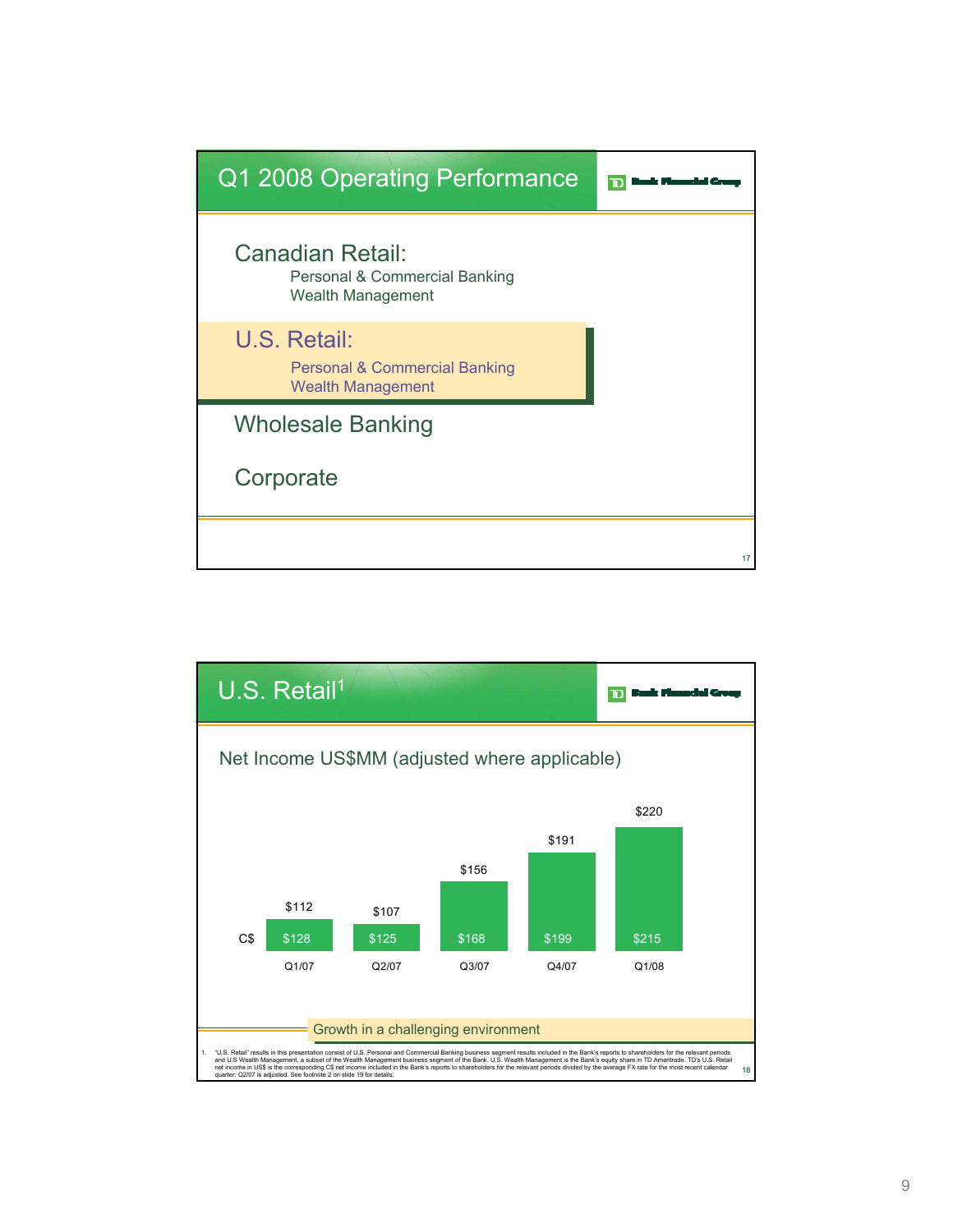

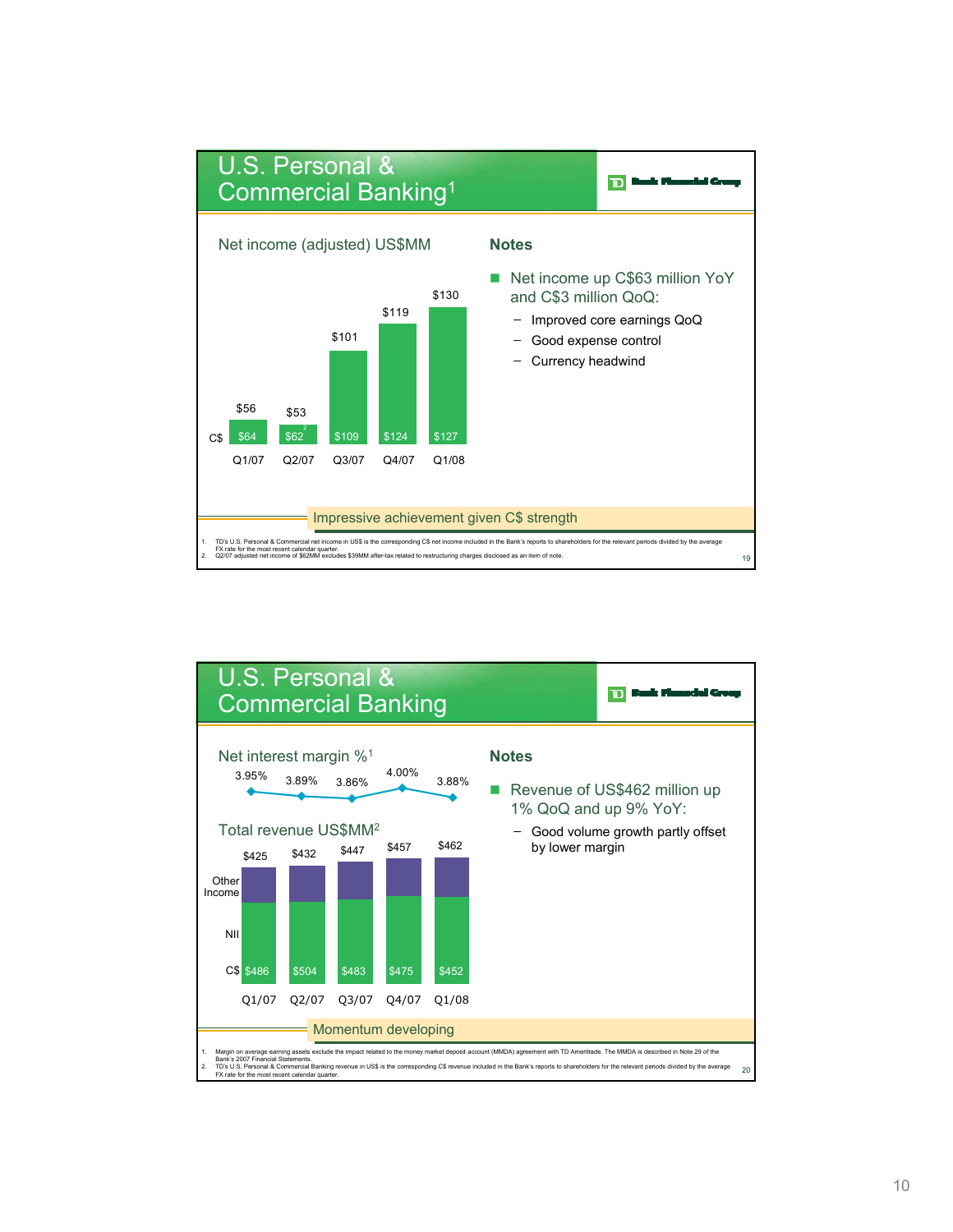

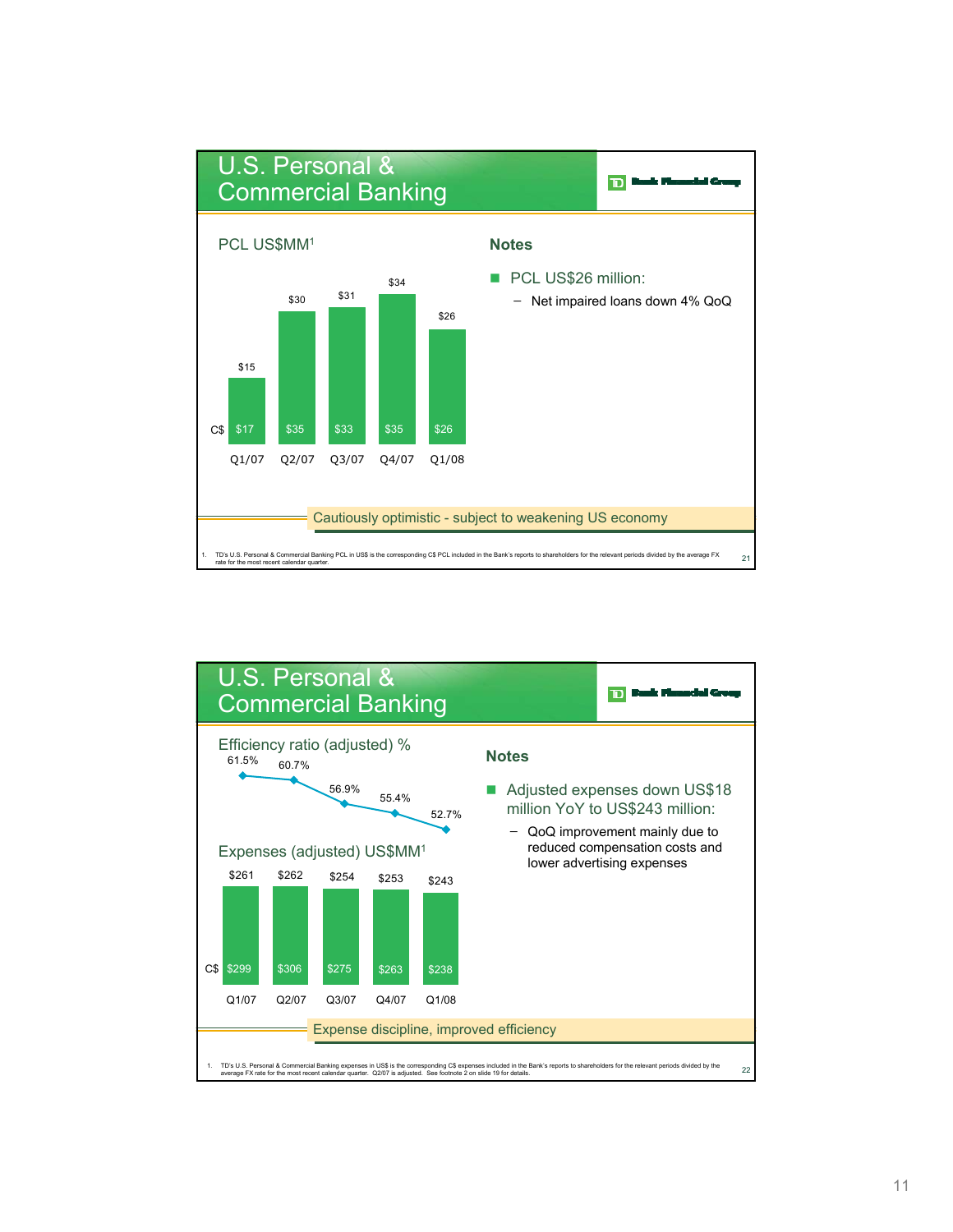

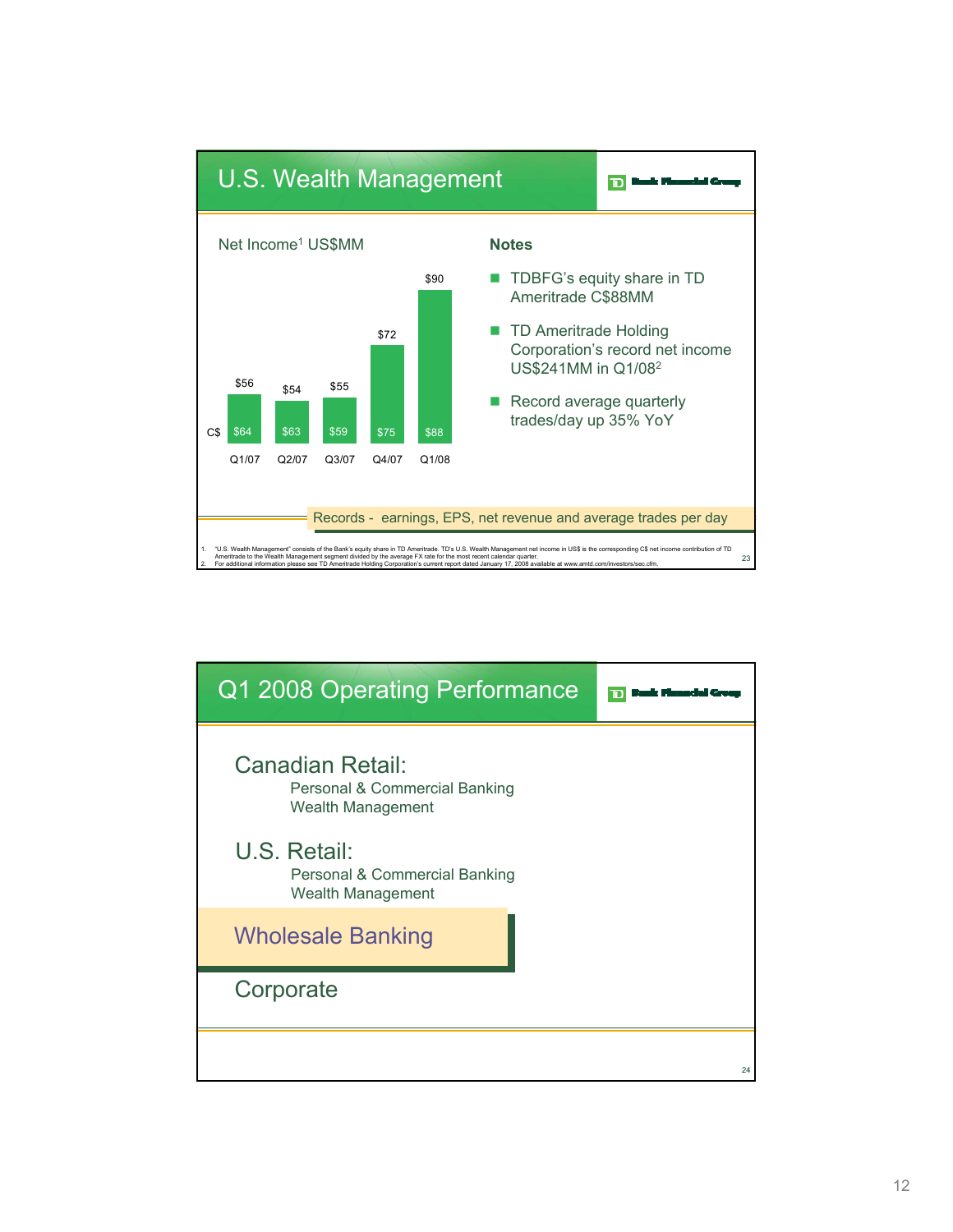

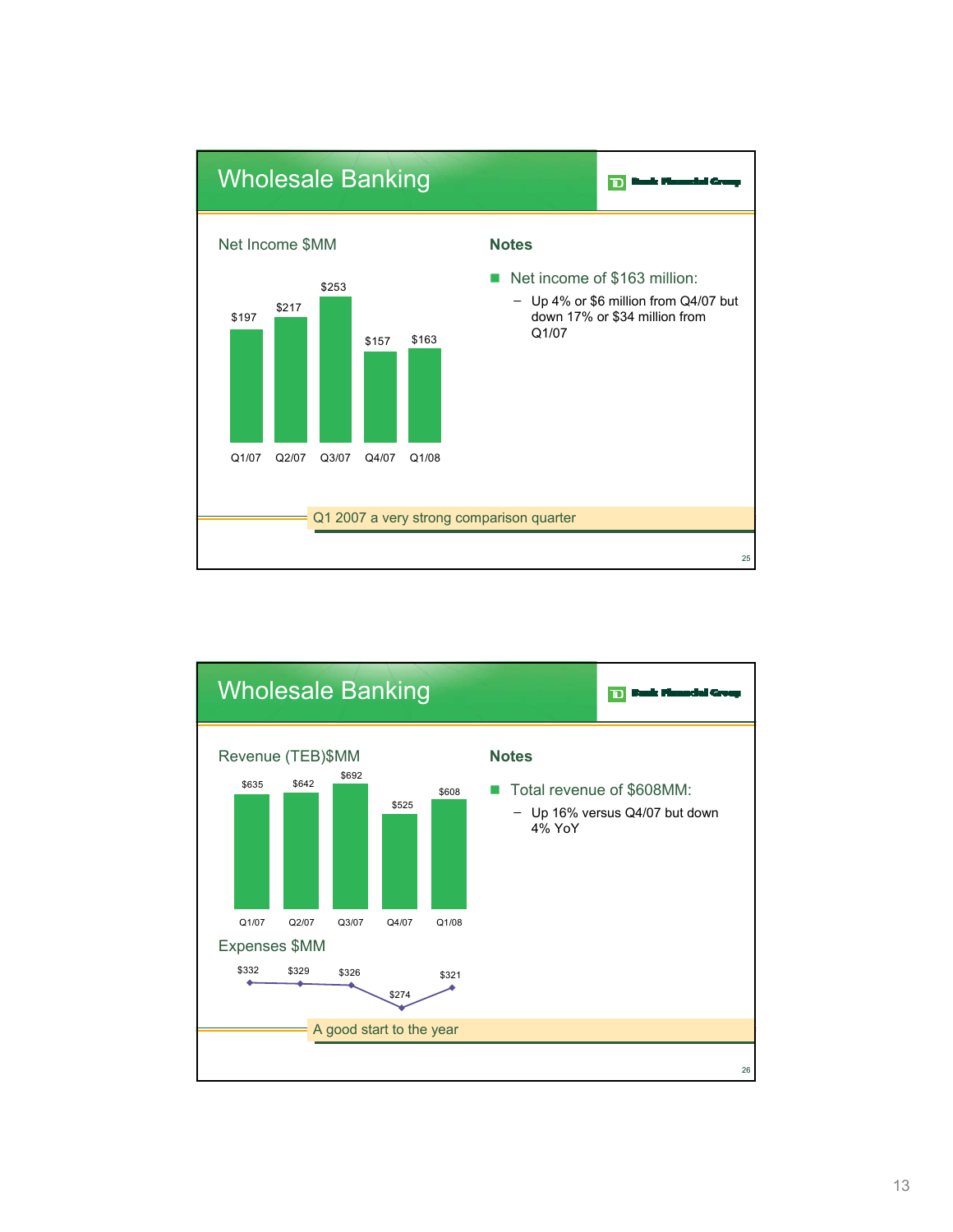

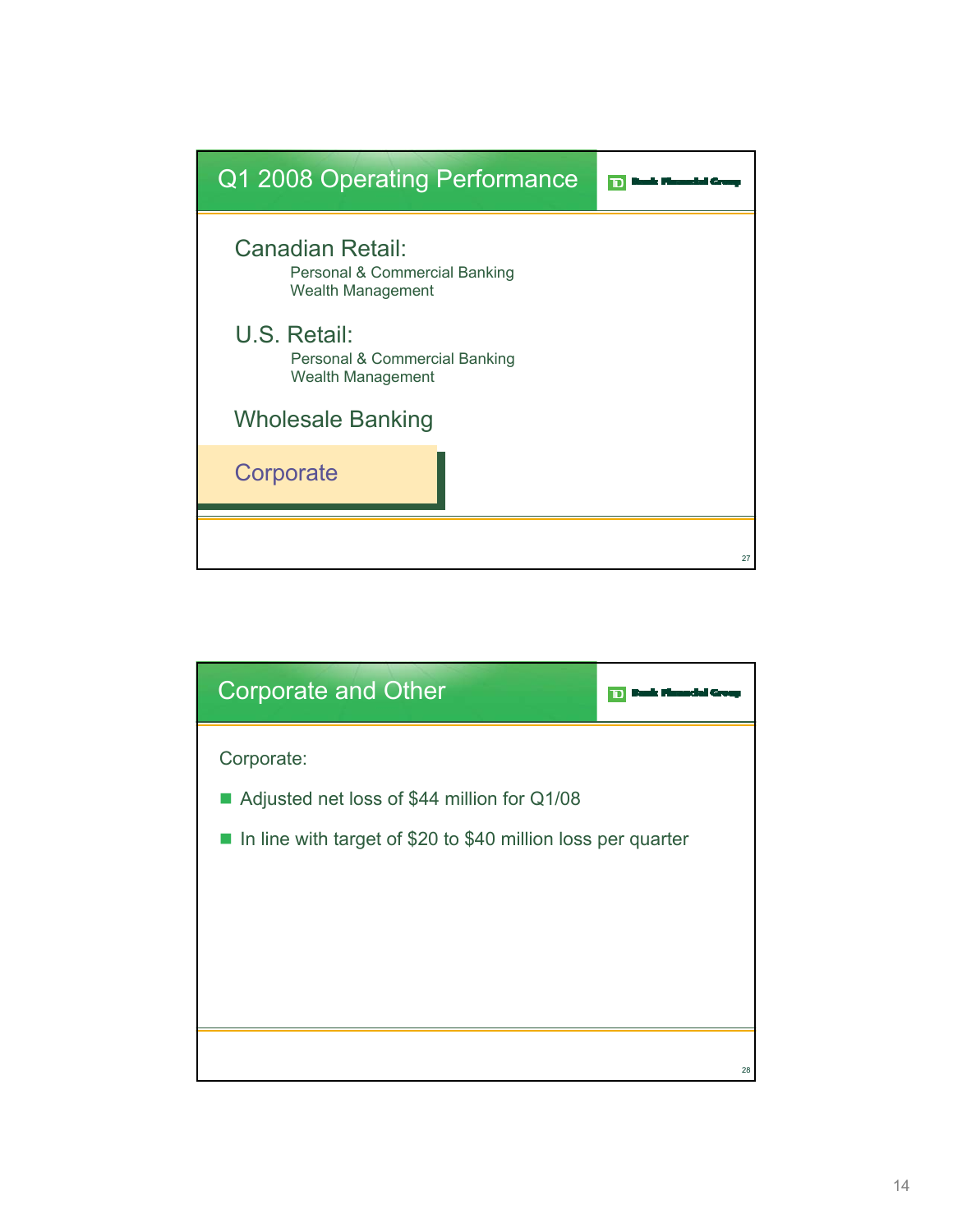

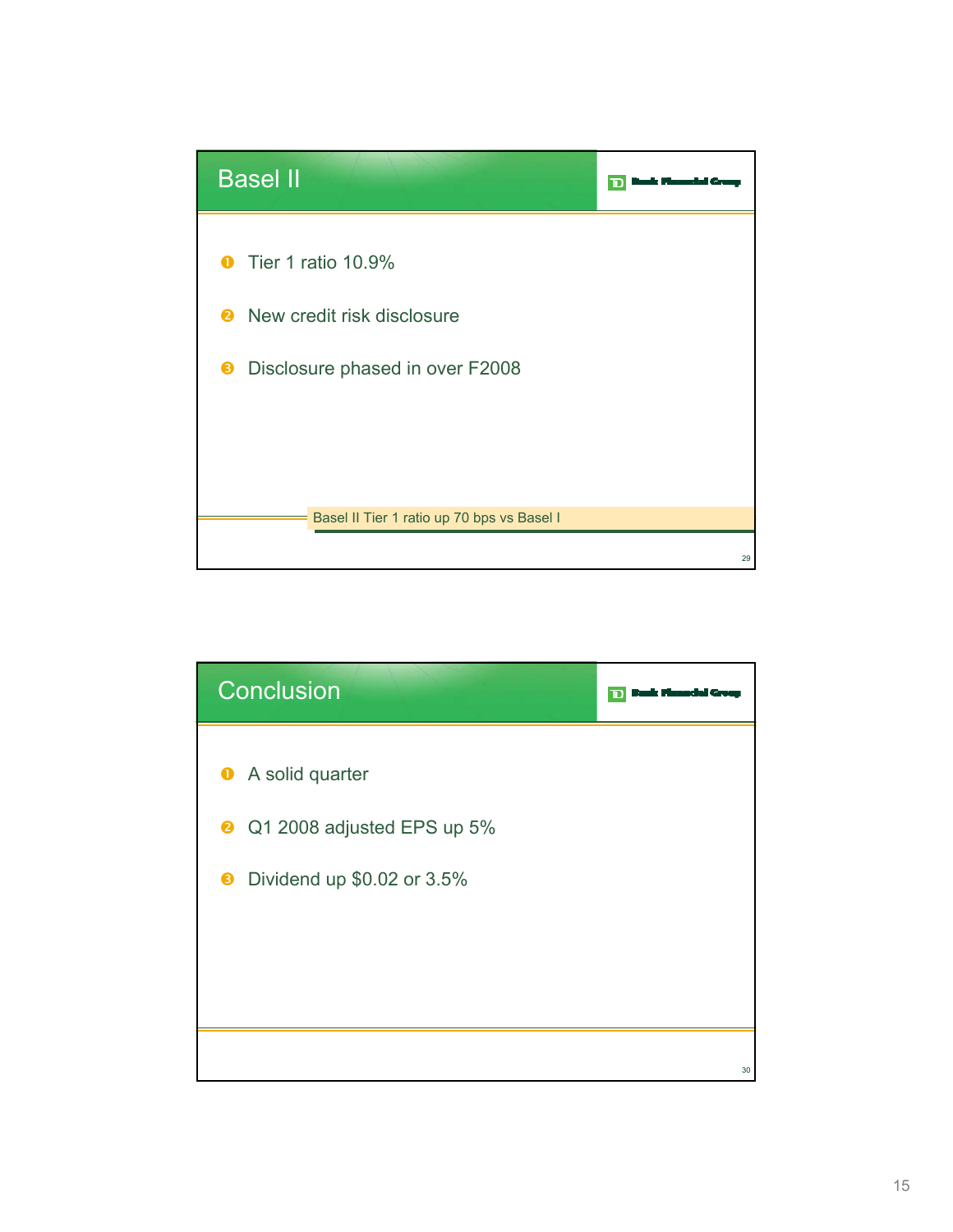